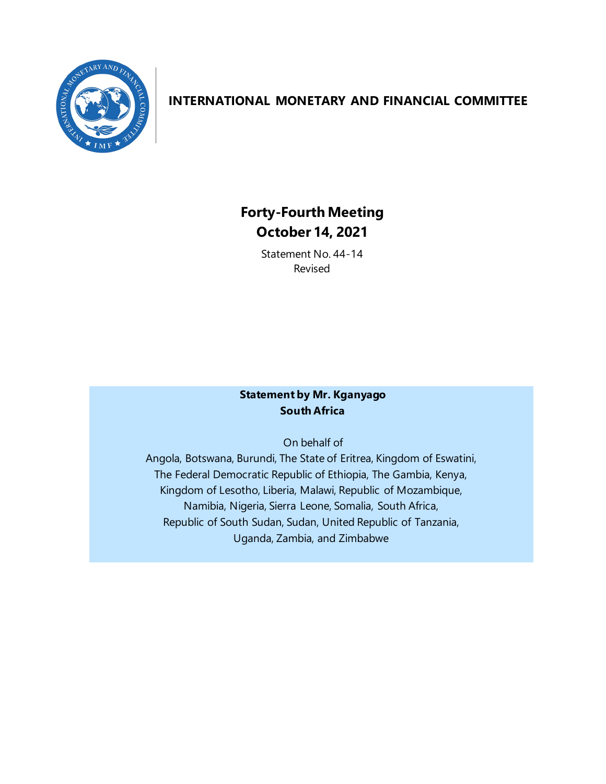

## **INTERNATIONAL MONETARY AND FINANCIAL COMMITTEE**

# **Forty-Fourth Meeting October 14, 2021**

Statement No. 44-14 Revised

### **Statement by Mr. Kganyago South Africa**

On behalf of

Angola, Botswana, Burundi, The State of Eritrea, Kingdom of Eswatini, The Federal Democratic Republic of Ethiopia, The Gambia, Kenya, Kingdom of Lesotho, Liberia, Malawi, Republic of Mozambique, Namibia, Nigeria, Sierra Leone, Somalia, South Africa, Republic of South Sudan, Sudan, United Republic of Tanzania, Uganda, Zambia, and Zimbabwe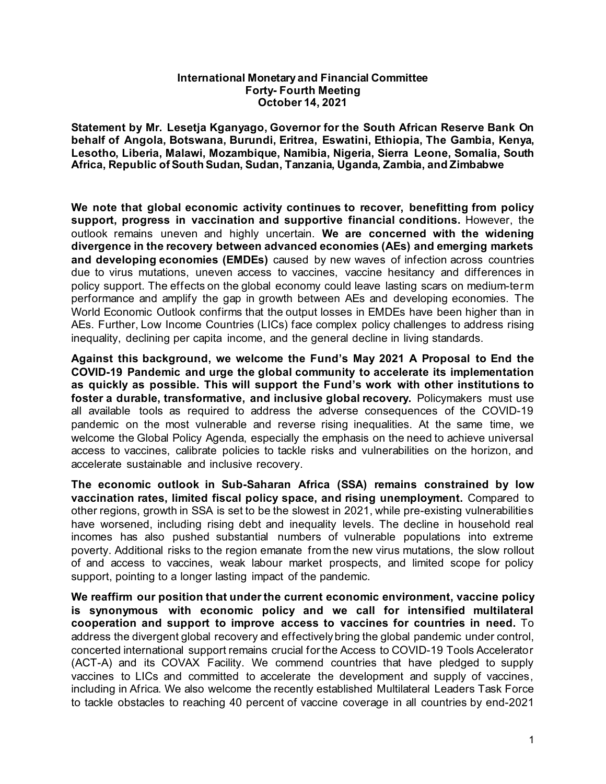#### **International Monetary and Financial Committee Forty- Fourth Meeting October 14, 2021**

**Statement by Mr. Lesetja Kganyago, Governor for the South African Reserve Bank On behalf of Angola, Botswana, Burundi, Eritrea, Eswatini, Ethiopia, The Gambia, Kenya, Lesotho, Liberia, Malawi, Mozambique, Namibia, Nigeria, Sierra Leone, Somalia, South Africa, Republic of South Sudan, Sudan, Tanzania, Uganda, Zambia, and Zimbabwe**

**We note that global economic activity continues to recover, benefitting from policy support, progress in vaccination and supportive financial conditions.** However, the outlook remains uneven and highly uncertain. **We are concerned with the widening divergence in the recovery between advanced economies (AEs) and emerging markets and developing economies (EMDEs)** caused by new waves of infection across countries due to virus mutations, uneven access to vaccines, vaccine hesitancy and differences in policy support. The effects on the global economy could leave lasting scars on medium-term performance and amplify the gap in growth between AEs and developing economies. The World Economic Outlook confirms that the output losses in EMDEs have been higher than in AEs. Further, Low Income Countries (LICs) face complex policy challenges to address rising inequality, declining per capita income, and the general decline in living standards.

**Against this background, we welcome the Fund's May 2021 A Proposal to End the COVID-19 Pandemic and urge the global community to accelerate its implementation as quickly as possible. This will support the Fund's work with other institutions to foster a durable, transformative, and inclusive global recovery.** Policymakers must use all available tools as required to address the adverse consequences of the COVID-19 pandemic on the most vulnerable and reverse rising inequalities. At the same time, we welcome the Global Policy Agenda, especially the emphasis on the need to achieve universal access to vaccines, calibrate policies to tackle risks and vulnerabilities on the horizon, and accelerate sustainable and inclusive recovery.

**The economic outlook in Sub-Saharan Africa (SSA) remains constrained by low vaccination rates, limited fiscal policy space, and rising unemployment.** Compared to other regions, growth in SSA is set to be the slowest in 2021, while pre-existing vulnerabilities have worsened, including rising debt and inequality levels. The decline in household real incomes has also pushed substantial numbers of vulnerable populations into extreme poverty. Additional risks to the region emanate from the new virus mutations, the slow rollout of and access to vaccines, weak labour market prospects, and limited scope for policy support, pointing to a longer lasting impact of the pandemic.

**We reaffirm our position that under the current economic environment, vaccine policy is synonymous with economic policy and we call for intensified multilateral cooperation and support to improve access to vaccines for countries in need.** To address the divergent global recovery and effectively bring the global pandemic under control, concerted international support remains crucial for the Access to COVID-19 Tools Accelerator (ACT-A) and its COVAX Facility. We commend countries that have pledged to supply vaccines to LICs and committed to accelerate the development and supply of vaccines, including in Africa. We also welcome the recently established Multilateral Leaders Task Force to tackle obstacles to reaching 40 percent of vaccine coverage in all countries by end-2021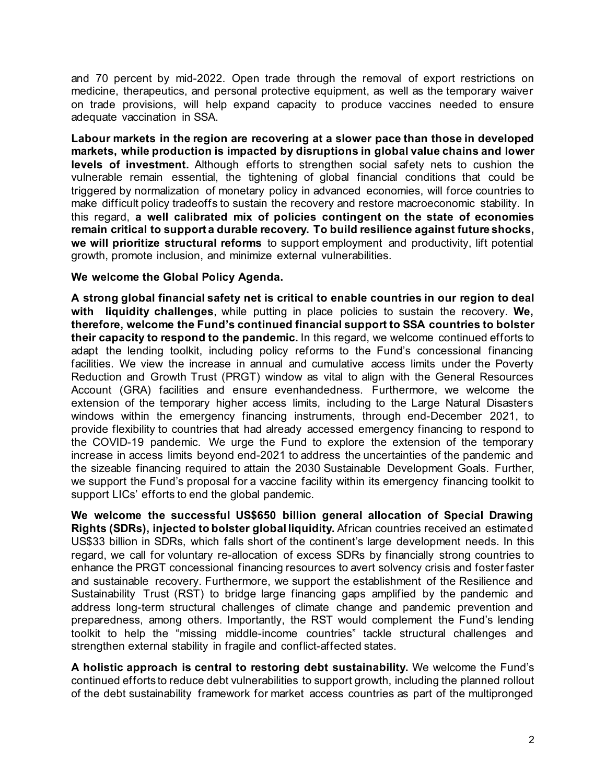and 70 percent by mid-2022. Open trade through the removal of export restrictions on medicine, therapeutics, and personal protective equipment, as well as the temporary waiver on trade provisions, will help expand capacity to produce vaccines needed to ensure adequate vaccination in SSA.

**Labour markets in the region are recovering at a slower pace than those in developed markets, while production is impacted by disruptions in global value chains and lower levels of investment.** Although efforts to strengthen social safety nets to cushion the vulnerable remain essential, the tightening of global financial conditions that could be triggered by normalization of monetary policy in advanced economies, will force countries to make difficult policy tradeoffs to sustain the recovery and restore macroeconomic stability. In this regard, **a well calibrated mix of policies contingent on the state of economies remain critical to support a durable recovery. To build resilience against future shocks, we will prioritize structural reforms** to support employment and productivity, lift potential growth, promote inclusion, and minimize external vulnerabilities.

#### **We welcome the Global Policy Agenda.**

**A strong global financial safety net is critical to enable countries in our region to deal with liquidity challenges**, while putting in place policies to sustain the recovery. **We, therefore, welcome the Fund's continued financial support to SSA countries to bolster their capacity to respond to the pandemic.** In this regard, we welcome continued efforts to adapt the lending toolkit, including policy reforms to the Fund's concessional financing facilities. We view the increase in annual and cumulative access limits under the Poverty Reduction and Growth Trust (PRGT) window as vital to align with the General Resources Account (GRA) facilities and ensure evenhandedness. Furthermore, we welcome the extension of the temporary higher access limits, including to the Large Natural Disasters windows within the emergency financing instruments, through end-December 2021, to provide flexibility to countries that had already accessed emergency financing to respond to the COVID-19 pandemic. We urge the Fund to explore the extension of the temporary increase in access limits beyond end-2021 to address the uncertainties of the pandemic and the sizeable financing required to attain the 2030 Sustainable Development Goals. Further, we support the Fund's proposal for a vaccine facility within its emergency financing toolkit to support LICs' efforts to end the global pandemic.

**We welcome the successful US\$650 billion general allocation of Special Drawing Rights (SDRs), injected to bolster global liquidity.** African countries received an estimated US\$33 billion in SDRs, which falls short of the continent's large development needs. In this regard, we call for voluntary re-allocation of excess SDRs by financially strong countries to enhance the PRGT concessional financing resources to avert solvency crisis and foster faster and sustainable recovery. Furthermore, we support the establishment of the Resilience and Sustainability Trust (RST) to bridge large financing gaps amplified by the pandemic and address long-term structural challenges of climate change and pandemic prevention and preparedness, among others. Importantly, the RST would complement the Fund's lending toolkit to help the "missing middle-income countries" tackle structural challenges and strengthen external stability in fragile and conflict-affected states.

**A holistic approach is central to restoring debt sustainability.** We welcome the Fund's continued efforts to reduce debt vulnerabilities to support growth, including the planned rollout of the debt sustainability framework for market access countries as part of the multipronged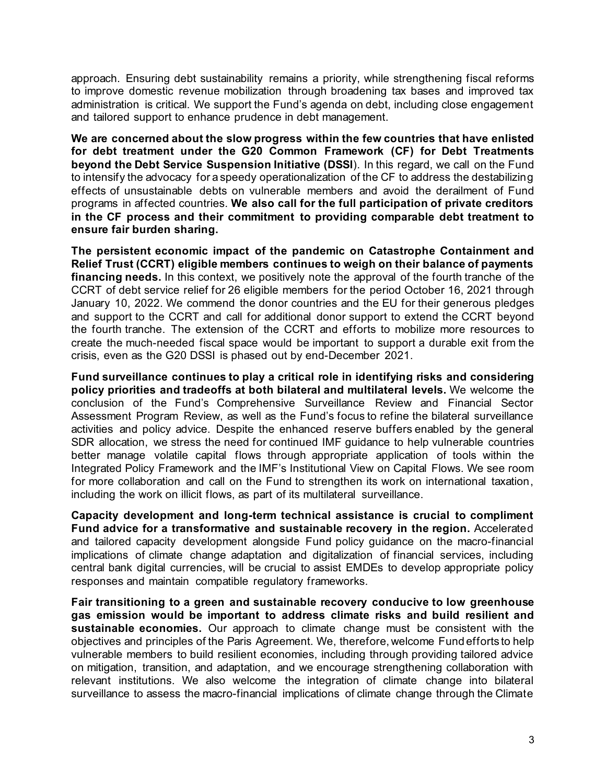approach. Ensuring debt sustainability remains a priority, while strengthening fiscal reforms to improve domestic revenue mobilization through broadening tax bases and improved tax administration is critical. We support the Fund's agenda on debt, including close engagement and tailored support to enhance prudence in debt management.

**We are concerned about the slow progress within the few countries that have enlisted for debt treatment under the G20 Common Framework (CF) for Debt Treatments beyond the Debt Service Suspension Initiative (DSSI**). In this regard, we call on the Fund to intensify the advocacy for a speedy operationalization of the CF to address the destabilizing effects of unsustainable debts on vulnerable members and avoid the derailment of Fund programs in affected countries. **We also call for the full participation of private creditors in the CF process and their commitment to providing comparable debt treatment to ensure fair burden sharing.**

**The persistent economic impact of the pandemic on Catastrophe Containment and Relief Trust (CCRT) eligible members continues to weigh on their balance of payments financing needs.** In this context, we positively note the approval of the fourth tranche of the CCRT of debt service relief for 26 eligible members for the period October 16, 2021 through January 10, 2022. We commend the donor countries and the EU for their generous pledges and support to the CCRT and call for additional donor support to extend the CCRT beyond the fourth tranche. The extension of the CCRT and efforts to mobilize more resources to create the much-needed fiscal space would be important to support a durable exit from the crisis, even as the G20 DSSI is phased out by end-December 2021.

**Fund surveillance continues to play a critical role in identifying risks and considering policy priorities and tradeoffs at both bilateral and multilateral levels.** We welcome the conclusion of the Fund's Comprehensive Surveillance Review and Financial Sector Assessment Program Review, as well as the Fund's focus to refine the bilateral surveillance activities and policy advice. Despite the enhanced reserve buffers enabled by the general SDR allocation, we stress the need for continued IMF guidance to help vulnerable countries better manage volatile capital flows through appropriate application of tools within the Integrated Policy Framework and the IMF's Institutional View on Capital Flows. We see room for more collaboration and call on the Fund to strengthen its work on international taxation, including the work on illicit flows, as part of its multilateral surveillance.

**Capacity development and long-term technical assistance is crucial to compliment Fund advice for a transformative and sustainable recovery in the region.** Accelerated and tailored capacity development alongside Fund policy guidance on the macro-financial implications of climate change adaptation and digitalization of financial services, including central bank digital currencies, will be crucial to assist EMDEs to develop appropriate policy responses and maintain compatible regulatory frameworks.

**Fair transitioning to a green and sustainable recovery conducive to low greenhouse gas emission would be important to address climate risks and build resilient and sustainable economies.** Our approach to climate change must be consistent with the objectives and principles of the Paris Agreement. We, therefore, welcome Fund efforts to help vulnerable members to build resilient economies, including through providing tailored advice on mitigation, transition, and adaptation, and we encourage strengthening collaboration with relevant institutions. We also welcome the integration of climate change into bilateral surveillance to assess the macro-financial implications of climate change through the Climate